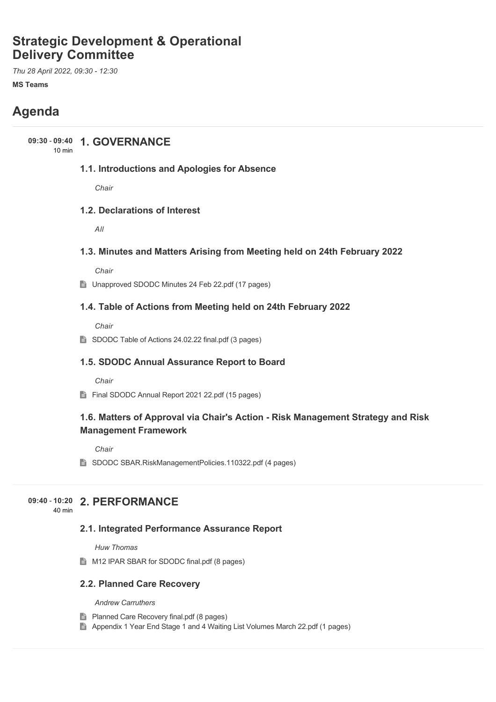# **Strategic Development & Operational Delivery Committee**

*Thu 28 April 2022, 09:30 - 12:30*

**MS Teams**

# **Agenda**

# **1. GOVERNANCE 09:30** - **09:40**

10 min

### **1.1. Introductions and Apologies for Absence**

*Chair*

## **1.2. Declarations of Interest**

*All*

### **1.3. Minutes and Matters Arising from Meeting held on 24th February 2022**

*Chair*

■ Unapproved SDODC Minutes 24 Feb 22.pdf (17 pages)

### **1.4. Table of Actions from Meeting held on 24th February 2022**

*Chair*

SDODC Table of Actions 24.02.22 final.pdf (3 pages)

### **1.5. SDODC Annual Assurance Report to Board**

*Chair*

Final SDODC Annual Report 2021 22.pdf (15 pages)

## **1.6. Matters of Approval via Chair's Action - Risk Management Strategy and Risk Management Framework**

*Chair*

■ SDODC SBAR.RiskManagementPolicies.110322.pdf (4 pages)

## **2. PERFORMANCE 09:40** - **10:20**

40 min

### **2.1. Integrated Performance Assurance Report**

*Huw Thomas*

M12 IPAR SBAR for SDODC final.pdf (8 pages)

### **2.2. Planned Care Recovery**

*Andrew Carruthers*

- **Planned Care Recovery final.pdf (8 pages)**
- Appendix 1 Year End Stage 1 and 4 Waiting List Volumes March 22.pdf (1 pages)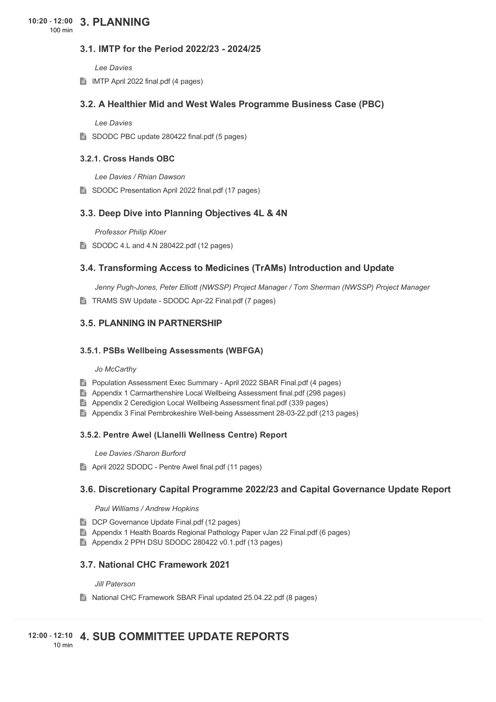### **3.1. IMTP for the Period 2022/23 - 2024/25**

*Lee Davies*

IMTP April 2022 final.pdf (4 pages)

### **3.2. A Healthier Mid and West Wales Programme Business Case (PBC)**

*Lee Davies*

SDODC PBC update 280422 final.pdf (5 pages)

#### **3.2.1. Cross Hands OBC**

*Lee Davies / Rhian Dawson*

SDODC Presentation April 2022 final.pdf (17 pages)

### **3.3. Deep Dive into Planning Objectives 4L & 4N**

*Professor Philip Kloer*

SDODC 4.L and 4.N 280422.pdf (12 pages)

### **3.4. Transforming Access to Medicines (TrAMs) Introduction and Update**

*Jenny Pugh-Jones, Peter Elliott (NWSSP) Project Manager / Tom Sherman (NWSSP) Project Manager*

■ TRAMS SW Update - SDODC Apr-22 Final.pdf (7 pages)

### **3.5. PLANNING IN PARTNERSHIP**

#### **3.5.1. PSBs Wellbeing Assessments (WBFGA)**

#### *Jo McCarthy*

- **Population Assessment Exec Summary April 2022 SBAR Final.pdf (4 pages)**
- Appendix 1 Carmarthenshire Local Wellbeing Assessment final.pdf (298 pages)
- Appendix 2 Ceredigion Local Wellbeing Assessment final.pdf (339 pages)
- Appendix 3 Final Pembrokeshire Well-being Assessment 28-03-22.pdf (213 pages)

#### **3.5.2. Pentre Awel (Llanelli Wellness Centre) Report**

*Lee Davies /Sharon Burford*

April 2022 SDODC - Pentre Awel final.pdf (11 pages)

#### **3.6. Discretionary Capital Programme 2022/23 and Capital Governance Update Report**

#### *Paul Williams / Andrew Hopkins*

- DCP Governance Update Final.pdf (12 pages)
- Appendix 1 Health Boards Regional Pathology Paper vJan 22 Final.pdf (6 pages)
- Appendix 2 PPH DSU SDODC 280422 v0.1.pdf (13 pages)

### **3.7. National CHC Framework 2021**

*Jill Paterson*

■ National CHC Framework SBAR Final updated 25.04.22.pdf (8 pages)

#### **4. SUB COMMITTEE UPDATE REPORTS 12:00** - **12:10** 10 min